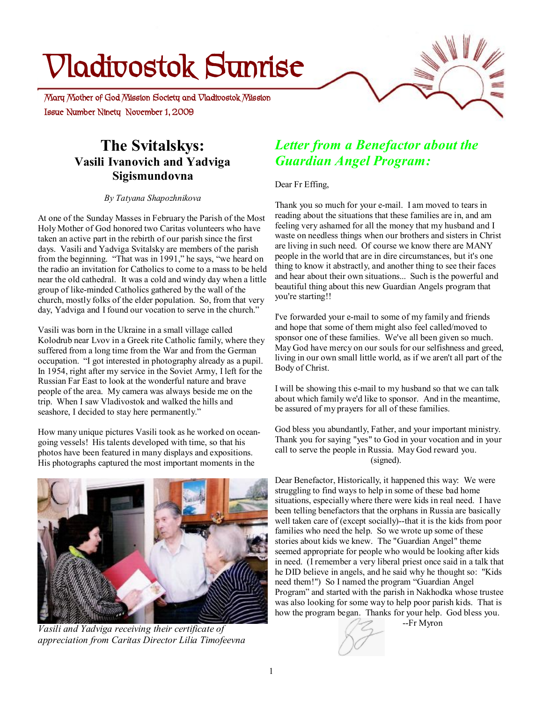# **Vladivostok Sunrise**

 **Issue Number Ninety November 1, 2009 Mary Mother of God Mission Society and Vladivostok Mission** 

## **The Svitalskys: Vasili Ivanovich and Yadviga Sigismundovna**

*By Tatyana Shapozhnikova* 

At one of the Sunday Masses in February the Parish of the Most Holy Mother of God honored two Caritas volunteers who have taken an active part in the rebirth of our parish since the first days. Vasili and Yadviga Svitalsky are members of the parish from the beginning. "That was in 1991," he says, "we heard on the radio an invitation for Catholics to come to a mass to be held near the old cathedral. It was a cold and windy day when a little group of like-minded Catholics gathered by the wall of the church, mostly folks of the elder population. So, from that very day, Yadviga and I found our vocation to serve in the church."

Vasili was born in the Ukraine in a small village called Kolodrub near Lvov in a Greek rite Catholic family, where they suffered from a long time from the War and from the German occupation. "I got interested in photography already as a pupil. In 1954, right after my service in the Soviet Army, I left for the Russian Far East to look at the wonderful nature and brave people of the area. My camera was always beside me on the trip. When I saw Vladivostok and walked the hills and seashore, I decided to stay here permanently."

How many unique pictures Vasili took as he worked on oceangoing vessels! His talents developed with time, so that his photos have been featured in many displays and expositions. His photographs captured the most important moments in the



*Vasili and Yadviga receiving their certificate of appreciation from Caritas Director Lilia Timofeevna* 

# *Letter from a Benefactor about the Guardian Angel Program:*

Dear Fr Effing,

Thank you so much for your e-mail. I am moved to tears in reading about the situations that these families are in, and am feeling very ashamed for all the money that my husband and I waste on needless things when our brothers and sisters in Christ are living in such need. Of course we know there are MANY people in the world that are in dire circumstances, but it's one thing to know it abstractly, and another thing to see their faces and hear about their own situations... Such is the powerful and beautiful thing about this new Guardian Angels program that you're starting!!

I've forwarded your e-mail to some of my family and friends and hope that some of them might also feel called/moved to sponsor one of these families. We've all been given so much. May God have mercy on our souls for our selfishness and greed, living in our own small little world, as if we aren't all part of the Body of Christ.

I will be showing this e-mail to my husband so that we can talk about which family we'd like to sponsor. And in the meantime, be assured of my prayers for all of these families.

God bless you abundantly, Father, and your important ministry. Thank you for saying "yes" to God in your vocation and in your call to serve the people in Russia. May God reward you. (signed).

Dear Benefactor, Historically, it happened this way: We were struggling to find ways to help in some of these bad home situations, especially where there were kids in real need. I have been telling benefactors that the orphans in Russia are basically well taken care of (except socially)--that it is the kids from poor families who need the help. So we wrote up some of these stories about kids we knew. The "Guardian Angel" theme seemed appropriate for people who would be looking after kids in need. (I remember a very liberal priest once said in a talk that he DID believe in angels, and he said why he thought so: "Kids need them!") So I named the program "Guardian Angel Program" and started with the parish in Nakhodka whose trustee was also looking for some way to help poor parish kids. That is how the program began. Thanks for your help. God bless you.

--Fr Myron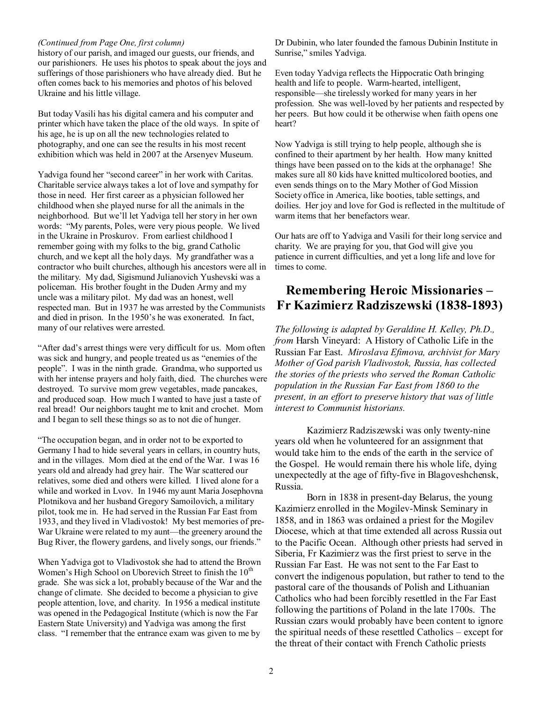#### *(Continued from Page One, first column)*

history of our parish, and imaged our guests, our friends, and our parishioners. He uses his photos to speak about the joys and sufferings of those parishioners who have already died. But he often comes back to his memories and photos of his beloved Ukraine and his little village.

But today Vasili has his digital camera and his computer and printer which have taken the place of the old ways. In spite of his age, he is up on all the new technologies related to photography, and one can see the results in his most recent exhibition which was held in 2007 at the Arsenyev Museum.

Yadviga found her "second career" in her work with Caritas. Charitable service always takes a lot of love and sympathy for those in need. Her first career as a physician followed her childhood when she played nurse for all the animals in the neighborhood. But we'll let Yadviga tell her story in her own words: "My parents, Poles, were very pious people. We lived in the Ukraine in Proskurov. From earliest childhood I remember going with my folks to the big, grand Catholic church, and we kept all the holy days. My grandfather was a contractor who built churches, although his ancestors were all in the military. My dad, Sigismund Julianovich Yushevski was a policeman. His brother fought in the Duden Army and my uncle was a military pilot. My dad was an honest, well respected man. But in 1937 he was arrested by the Communists and died in prison. In the 1950's he was exonerated. In fact, many of our relatives were arrested.

"After dad's arrest things were very difficult for us. Mom often was sick and hungry, and people treated us as "enemies of the people". I was in the ninth grade. Grandma, who supported us with her intense prayers and holy faith, died. The churches were destroyed. To survive mom grew vegetables, made pancakes, and produced soap. How much I wanted to have just a taste of real bread! Our neighbors taught me to knit and crochet. Mom and I began to sell these things so as to not die of hunger.

"The occupation began, and in order not to be exported to Germany I had to hide several years in cellars, in country huts, and in the villages. Mom died at the end of the War. I was 16 years old and already had grey hair. The War scattered our relatives, some died and others were killed. I lived alone for a while and worked in Lvov. In 1946 my aunt Maria Josephovna Plotnikova and her husband Gregory Samoilovich, a military pilot, took me in. He had served in the Russian Far East from 1933, and they lived in Vladivostok! My best memories of pre-War Ukraine were related to my aunt—the greenery around the Bug River, the flowery gardens, and lively songs, our friends."

When Yadviga got to Vladivostok she had to attend the Brown Women's High School on Uborevich Street to finish the  $10<sup>th</sup>$ grade. She was sick a lot, probably because of the War and the change of climate. She decided to become a physician to give people attention, love, and charity. In 1956 a medical institute was opened in the Pedagogical Institute (which is now the Far Eastern State University) and Yadviga was among the first class. "I remember that the entrance exam was given to me by

Dr Dubinin, who later founded the famous Dubinin Institute in Sunrise," smiles Yadviga.

Even today Yadviga reflects the Hippocratic Oath bringing health and life to people. Warm-hearted, intelligent, responsible—she tirelessly worked for many years in her profession. She was well-loved by her patients and respected by her peers. But how could it be otherwise when faith opens one heart?

Now Yadviga is still trying to help people, although she is confined to their apartment by her health. How many knitted things have been passed on to the kids at the orphanage! She makes sure all 80 kids have knitted multicolored booties, and even sends things on to the Mary Mother of God Mission Society office in America, like booties, table settings, and doilies. Her joy and love for God is reflected in the multitude of warm items that her benefactors wear.

Our hats are off to Yadviga and Vasili for their long service and charity. We are praying for you, that God will give you patience in current difficulties, and yet a long life and love for times to come.

### **Remembering Heroic Missionaries – Fr Kazimierz Radziszewski (1838-1893)**

*The following is adapted by Geraldine H. Kelley, Ph.D., from* Harsh Vineyard: A History of Catholic Life in the Russian Far East. *Miroslava Efimova, archivist for Mary Mother of God parish Vladivostok, Russia, has collected the stories of the priests who served the Roman Catholic population in the Russian Far East from 1860 to the present, in an effort to preserve history that was of little interest to Communist historians.*

Kazimierz Radziszewski was only twenty-nine years old when he volunteered for an assignment that would take him to the ends of the earth in the service of the Gospel. He would remain there his whole life, dying unexpectedly at the age of fifty-five in Blagoveshchensk, Russia.

Born in 1838 in present-day Belarus, the young Kazimierz enrolled in the Mogilev-Minsk Seminary in 1858, and in 1863 was ordained a priest for the Mogilev Diocese, which at that time extended all across Russia out to the Pacific Ocean. Although other priests had served in Siberia, Fr Kazimierz was the first priest to serve in the Russian Far East. He was not sent to the Far East to convert the indigenous population, but rather to tend to the pastoral care of the thousands of Polish and Lithuanian Catholics who had been forcibly resettled in the Far East following the partitions of Poland in the late 1700s. The Russian czars would probably have been content to ignore the spiritual needs of these resettled Catholics – except for the threat of their contact with French Catholic priests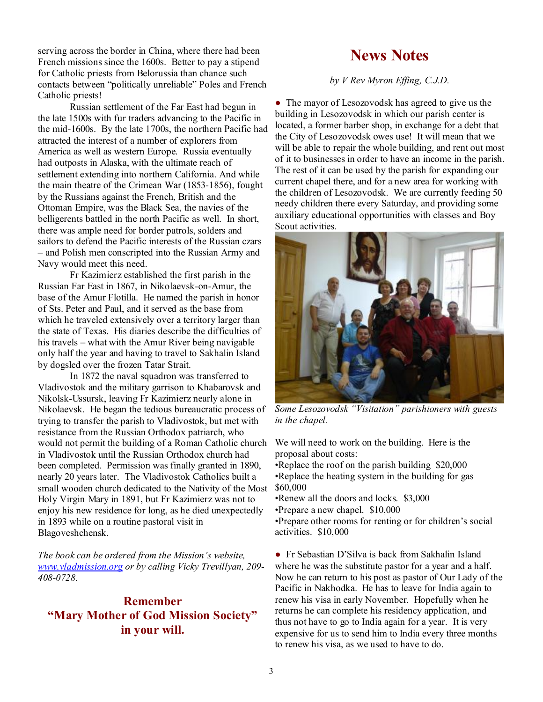serving across the border in China, where there had been French missions since the 1600s. Better to pay a stipend for Catholic priests from Belorussia than chance such contacts between "politically unreliable" Poles and French Catholic priests!

Russian settlement of the Far East had begun in the late 1500s with fur traders advancing to the Pacific in the mid-1600s. By the late 1700s, the northern Pacific had attracted the interest of a number of explorers from America as well as western Europe. Russia eventually had outposts in Alaska, with the ultimate reach of settlement extending into northern California. And while the main theatre of the Crimean War (1853-1856), fought by the Russians against the French, British and the Ottoman Empire, was the Black Sea, the navies of the belligerents battled in the north Pacific as well. In short, there was ample need for border patrols, solders and sailors to defend the Pacific interests of the Russian czars – and Polish men conscripted into the Russian Army and Navy would meet this need.

Fr Kazimierz established the first parish in the Russian Far East in 1867, in Nikolaevsk-on-Amur, the base of the Amur Flotilla. He named the parish in honor of Sts. Peter and Paul, and it served as the base from which he traveled extensively over a territory larger than the state of Texas. His diaries describe the difficulties of his travels – what with the Amur River being navigable only half the year and having to travel to Sakhalin Island by dogsled over the frozen Tatar Strait.

In 1872 the naval squadron was transferred to Vladivostok and the military garrison to Khabarovsk and Nikolsk-Ussursk, leaving Fr Kazimierz nearly alone in Nikolaevsk. He began the tedious bureaucratic process of trying to transfer the parish to Vladivostok, but met with resistance from the Russian Orthodox patriarch, who would not permit the building of a Roman Catholic church in Vladivostok until the Russian Orthodox church had been completed. Permission was finally granted in 1890, nearly 20 years later. The Vladivostok Catholics built a small wooden church dedicated to the Nativity of the Most Holy Virgin Mary in 1891, but Fr Kazimierz was not to enjoy his new residence for long, as he died unexpectedly in 1893 while on a routine pastoral visit in Blagoveshchensk.

*The book can be ordered from the Mission's website, [www.vladmission.org](http://www.vladmission.org) or by calling Vicky Trevillyan, 209- 408-0728.* 

#### **Remember "Mary Mother of God Mission Society" in your will.**

# **News Notes**

*by V Rev Myron Effing, C.J.D.*

• The mayor of Lesozovodsk has agreed to give us the building in Lesozovodsk in which our parish center is located, a former barber shop, in exchange for a debt that the City of Lesozovodsk owes use! It will mean that we will be able to repair the whole building, and rent out most of it to businesses in order to have an income in the parish. The rest of it can be used by the parish for expanding our current chapel there, and for a new area for working with the children of Lesozovodsk. We are currently feeding 50 needy children there every Saturday, and providing some auxiliary educational opportunities with classes and Boy Scout activities.



*Some Lesozovodsk "Visitation" parishioners with guests in the chapel.* 

We will need to work on the building. Here is the proposal about costs:

•Replace the roof on the parish building \$20,000 •Replace the heating system in the building for gas \$60,000

•Renew all the doors and locks. \$3,000

•Prepare a new chapel. \$10,000

•Prepare other rooms for renting or for children's social activities. \$10,000

● Fr Sebastian D'Silva is back from Sakhalin Island where he was the substitute pastor for a year and a half. Now he can return to his post as pastor of Our Lady of the Pacific in Nakhodka. He has to leave for India again to renew his visa in early November. Hopefully when he returns he can complete his residency application, and thus not have to go to India again for a year. It is very expensive for us to send him to India every three months to renew his visa, as we used to have to do.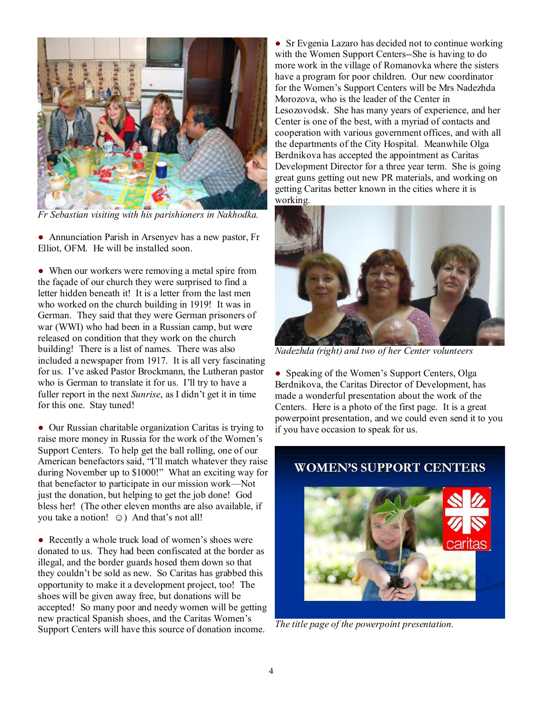

*Fr Sebastian visiting with his parishioners in Nakhodka.* 

• Annunciation Parish in Arsenyev has a new pastor, Fr Elliot, OFM. He will be installed soon.

• When our workers were removing a metal spire from the façade of our church they were surprised to find a letter hidden beneath it! It is a letter from the last men who worked on the church building in 1919! It was in German. They said that they were German prisoners of war (WWI) who had been in a Russian camp, but were released on condition that they work on the church building! There is a list of names. There was also included a newspaper from 1917. It is all very fascinating for us. I've asked Pastor Brockmann, the Lutheran pastor who is German to translate it for us. I'll try to have a fuller report in the next *Sunrise*, as I didn't get it in time for this one. Stay tuned!

• Our Russian charitable organization Caritas is trying to raise more money in Russia for the work of the Women's Support Centers. To help get the ball rolling, one of our American benefactors said, "I'll match whatever they raise during November up to \$1000!" What an exciting way for that benefactor to participate in our mission work—Not just the donation, but helping to get the job done! God bless her! (The other eleven months are also available, if you take a notion! ☺) And that's not all!

• Recently a whole truck load of women's shoes were donated to us. They had been confiscated at the border as illegal, and the border guards hosed them down so that they couldn't be sold as new. So Caritas has grabbed this opportunity to make it a development project, too! The shoes will be given away free, but donations will be accepted! So many poor and needy women will be getting new practical Spanish shoes, and the Caritas Women's Support Centers will have this source of donation income.

• Sr Evgenia Lazaro has decided not to continue working with the Women Support Centers--She is having to do more work in the village of Romanovka where the sisters have a program for poor children. Our new coordinator for the Women's Support Centers will be Mrs Nadezhda Morozova, who is the leader of the Center in Lesozovodsk. She has many years of experience, and her Center is one of the best, with a myriad of contacts and cooperation with various government offices, and with all the departments of the City Hospital. Meanwhile Olga Berdnikova has accepted the appointment as Caritas Development Director for a three year term. She is going great guns getting out new PR materials, and working on getting Caritas better known in the cities where it is working.



*Nadezhda (right) and two of her Center volunteers* 

• Speaking of the Women's Support Centers, Olga Berdnikova, the Caritas Director of Development, has made a wonderful presentation about the work of the Centers. Here is a photo of the first page. It is a great powerpoint presentation, and we could even send it to you if you have occasion to speak for us.

#### **WOMEN'S SUPPORT CENTERS**



*The title page of the powerpoint presentation.*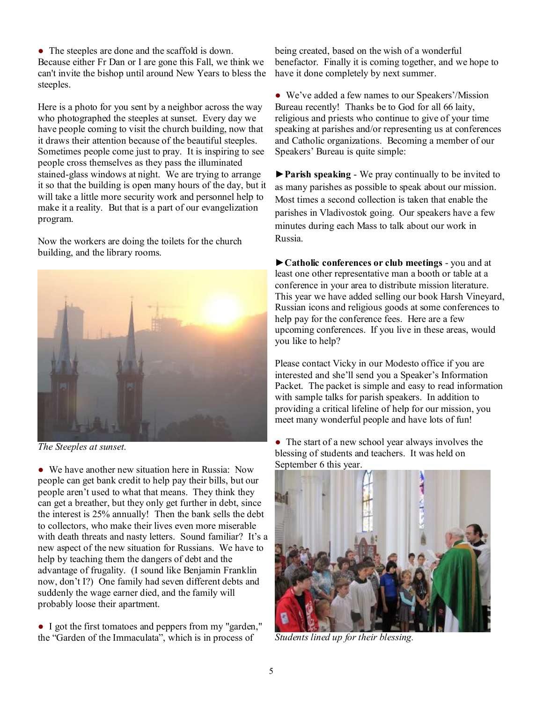• The steeples are done and the scaffold is down. Because either Fr Dan or I are gone this Fall, we think we can't invite the bishop until around New Years to bless the steeples.

Here is a photo for you sent by a neighbor across the way who photographed the steeples at sunset. Every day we have people coming to visit the church building, now that it draws their attention because of the beautiful steeples. Sometimes people come just to pray. It is inspiring to see people cross themselves as they pass the illuminated stained-glass windows at night. We are trying to arrange it so that the building is open many hours of the day, but it will take a little more security work and personnel help to make it a reality. But that is a part of our evangelization program.

Now the workers are doing the toilets for the church building, and the library rooms.



*The Steeples at sunset.* 

• We have another new situation here in Russia: Now people can get bank credit to help pay their bills, but our people aren't used to what that means. They think they can get a breather, but they only get further in debt, since the interest is 25% annually! Then the bank sells the debt to collectors, who make their lives even more miserable with death threats and nasty letters. Sound familiar? It's a new aspect of the new situation for Russians. We have to help by teaching them the dangers of debt and the advantage of frugality. (I sound like Benjamin Franklin now, don't I?) One family had seven different debts and suddenly the wage earner died, and the family will probably loose their apartment.

● I got the first tomatoes and peppers from my "garden," the "Garden of the Immaculata", which is in process of

being created, based on the wish of a wonderful benefactor. Finally it is coming together, and we hope to have it done completely by next summer.

● We've added a few names to our Speakers'/Mission Bureau recently! Thanks be to God for all 66 laity, religious and priests who continue to give of your time speaking at parishes and/or representing us at conferences and Catholic organizations. Becoming a member of our Speakers' Bureau is quite simple:

**►Parish speaking** - We pray continually to be invited to as many parishes as possible to speak about our mission. Most times a second collection is taken that enable the parishes in Vladivostok going. Our speakers have a few minutes during each Mass to talk about our work in Russia.

**►Catholic conferences or club meetings** - you and at least one other representative man a booth or table at a conference in your area to distribute mission literature. This year we have added selling our book Harsh Vineyard, Russian icons and religious goods at some conferences to help pay for the conference fees. Here are a few upcoming conferences. If you live in these areas, would you like to help?

Please contact Vicky in our Modesto office if you are interested and she'll send you a Speaker's Information Packet. The packet is simple and easy to read information with sample talks for parish speakers. In addition to providing a critical lifeline of help for our mission, you meet many wonderful people and have lots of fun!

• The start of a new school year always involves the blessing of students and teachers. It was held on September 6 this year.



*Students lined up for their blessing.*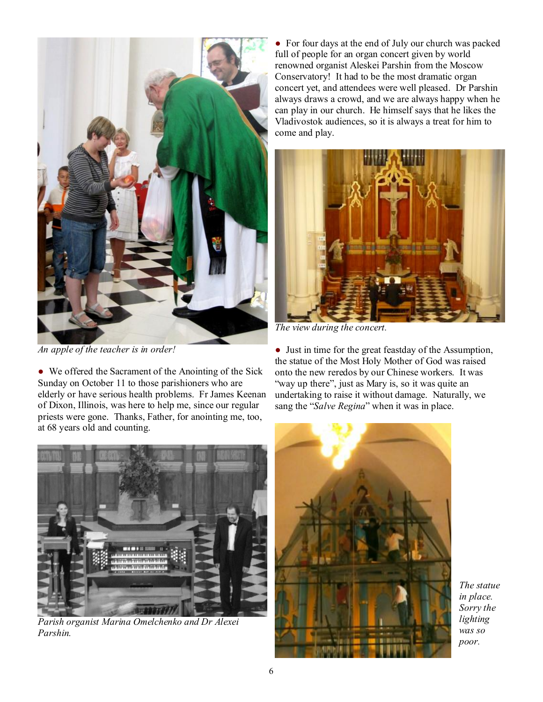

*An apple of the teacher is in order!* 

• We offered the Sacrament of the Anointing of the Sick Sunday on October 11 to those parishioners who are elderly or have serious health problems. Fr James Keenan of Dixon, Illinois, was here to help me, since our regular priests were gone. Thanks, Father, for anointing me, too, at 68 years old and counting.



*Parish organist Marina Omelchenko and Dr Alexei Parshin.* 

● For four days at the end of July our church was packed full of people for an organ concert given by world renowned organist Aleskei Parshin from the Moscow Conservatory! It had to be the most dramatic organ concert yet, and attendees were well pleased. Dr Parshin always draws a crowd, and we are always happy when he can play in our church. He himself says that he likes the Vladivostok audiences, so it is always a treat for him to come and play.



*The view during the concert.* 

● Just in time for the great feastday of the Assumption, the statue of the Most Holy Mother of God was raised onto the new reredos by our Chinese workers. It was "way up there", just as Mary is, so it was quite an undertaking to raise it without damage. Naturally, we sang the "*Salve Regina*" when it was in place.



*The statue in place. Sorry the lighting was so poor.*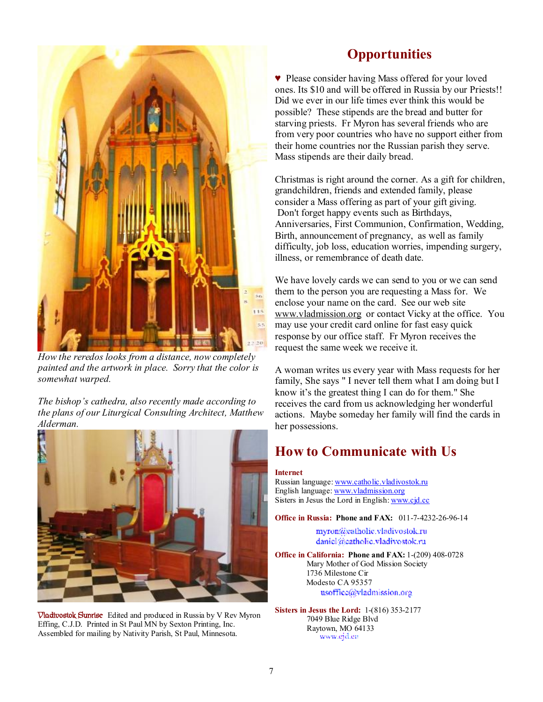

*How the reredos looks from a distance, now completely painted and the artwork in place. Sorry that the color is somewhat warped.* 

*The bishop's cathedra, also recently made according to the plans of our Liturgical Consulting Architect, Matthew Alderman.* 



**Vladivostok Sunrise** Edited and produced in Russia by V Rev Myron Effing, C.J.D. Printed in St Paul MN by Sexton Printing, Inc. Assembled for mailing by Nativity Parish, St Paul, Minnesota.

## **Opportunities**

♥ Please consider having Mass offered for your loved ones. Its \$10 and will be offered in Russia by our Priests!! Did we ever in our life times ever think this would be possible? These stipends are the bread and butter for starving priests. Fr Myron has several friends who are from very poor countries who have no support either from their home countries nor the Russian parish they serve. Mass stipends are their daily bread.

Christmas is right around the corner. As a gift for children, grandchildren, friends and extended family, please consider a Mass offering as part of your gift giving. Don't forget happy events such as Birthdays, Anniversaries, First Communion, Confirmation, Wedding, Birth, announcement of pregnancy, as well as family difficulty, job loss, education worries, impending surgery, illness, or remembrance of death date.

We have lovely cards we can send to you or we can send them to the person you are requesting a Mass for. We enclose your name on the card. See our web site [www.vladmission.org](http://www.vladmission.org) or contact Vicky at the office. You may use your credit card online for fast easy quick response by our office staff. Fr Myron receives the request the same week we receive it.

A woman writes us every year with Mass requests for her family, She says " I never tell them what I am doing but I know it's the greatest thing I can do for them." She receives the card from us acknowledging her wonderful actions. Maybe someday her family will find the cards in her possessions.

# **How to Communicate with Us**

#### **Internet**

Russian language: [www.catholic.vladivostok.ru](http://www.catholic.vladivostok.ru) English language: [www.vladmission.org](http://www.vladmission.org) Sisters in Jesus the Lord in English: [www.cjd.cc](http://www.cjd.cc)

**Office in Russia: Phone and FAX:** 011-7-4232-26-96-14

myron@eatholic.vladivostok.ru daniel@eatholic.vladivostok.ru

**Office in California: Phone and FAX:** 1-(209) 408-0728 Mary Mother of God Mission Society 1736 Milestone Cir Modesto CA 95357 usoffice@vladmission.org

**Sisters in Jesus the Lord:** 1-(816) 353-2177 7049 Blue Ridge Blvd Raytown, MO 64133 www.ejd.ee